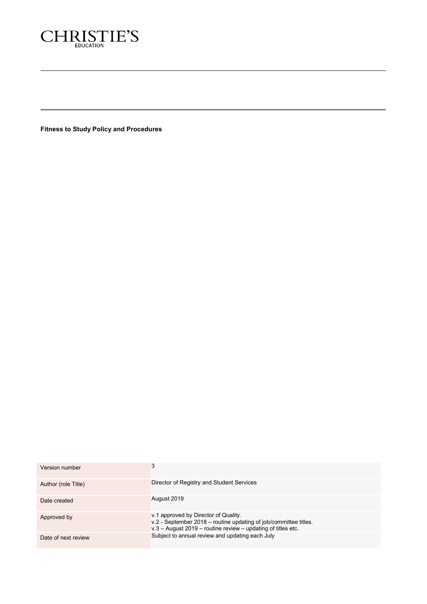

**Fitness to Study Policy and Procedures**

| Version number      |                                                                                                                                                                            |
|---------------------|----------------------------------------------------------------------------------------------------------------------------------------------------------------------------|
| Author (role Title) | Director of Registry and Student Services                                                                                                                                  |
| Date created        | August 2019                                                                                                                                                                |
| Approved by         | v.1 approved by Director of Quality.<br>v.2 - September 2018 – routine updating of job/committee titles.<br>$v.3$ – August 2019 – routine review – updating of titles etc. |
| Date of next review | Subject to annual review and updating each July                                                                                                                            |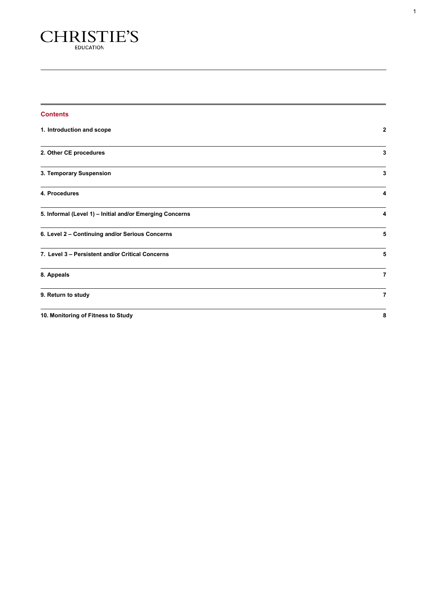

| <b>Contents</b>                                          |                |
|----------------------------------------------------------|----------------|
| 1. Introduction and scope                                | 2              |
| 2. Other CE procedures                                   | 3              |
| 3. Temporary Suspension                                  | 3              |
| 4. Procedures                                            | 4              |
| 5. Informal (Level 1) - Initial and/or Emerging Concerns | 4              |
| 6. Level 2 - Continuing and/or Serious Concerns          | 5              |
| 7. Level 3 - Persistent and/or Critical Concerns         | 5              |
| 8. Appeals                                               | $\overline{7}$ |
| 9. Return to study                                       | $\overline{7}$ |
| 10. Monitoring of Fitness to Study                       | 8              |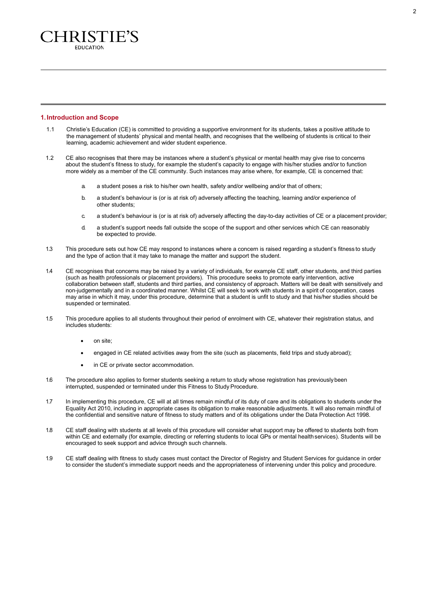

## <span id="page-2-0"></span>**1.Introduction and Scope**

- 1.1 Christie's Education (CE) is committed to providing a supportive environment for its students, takes a positive attitude to the management of students' physical and mental health, and recognises that the wellbeing of students is critical to their learning, academic achievement and wider student experience.
- 1.2 CE also recognises that there may be instances where a student's physical or mental health may give rise to concerns about the student's fitness to study, for example the student's capacity to engage with his/her studies and/or to function more widely as a member of the CE community. Such instances may arise where, for example, CE is concerned that:
	- a. a student poses a risk to his/her own health, safety and/or wellbeing and/or that of others;
	- b. a student's behaviour is (or is at risk of) adversely affecting the teaching, learning and/or experience of other students;
	- c. a student's behaviour is (or is at risk of) adversely affecting the day-to-day activities of CE or a placement provider;
	- d. a student's support needs fall outside the scope of the support and other services which CE can reasonably be expected to provide.
- 1.3 This procedure sets out how CE may respond to instances where a concern is raised regarding a student's fitness to study and the type of action that it may take to manage the matter and support the student.
- 1.4 CE recognises that concerns may be raised by a variety of individuals, for example CE staff, other students, and third parties (such as health professionals or placement providers). This procedure seeks to promote early intervention, active collaboration between staff, students and third parties, and consistency of approach. Matters will be dealt with sensitively and non-judgementally and in a coordinated manner. Whilst CE will seek to work with students in a spirit of cooperation, cases may arise in which it may, under this procedure, determine that a student is unfit to study and that his/her studies should be suspended or terminated.
- 1.5 This procedure applies to all students throughout their period of enrolment with CE, whatever their registration status, and includes students:
	- on site;
	- engaged in CE related activities away from the site (such as placements, field trips and study abroad);
	- in CE or private sector accommodation.
- 1.6 The procedure also applies to former students seeking a return to study whose registration has previouslybeen interrupted, suspended or terminated under this Fitness to Study Procedure.
- 1.7 In implementing this procedure, CE will at all times remain mindful of its duty of care and its obligations to students under the Equality Act 2010, including in appropriate cases its obligation to make reasonable adjustments. It will also remain mindful of the confidential and sensitive nature of fitness to study matters and of its obligations under the Data Protection Act 1998.
- 1.8 CE staff dealing with students at all levels of this procedure will consider what support may be offered to students both from within CE and externally (for example, directing or referring students to local GPs or mental healthservices). Students will be encouraged to seek support and advice through such channels.
- 1.9 CE staff dealing with fitness to study cases must contact the Director of Registry and Student Services for guidance in order to consider the student's immediate support needs and the appropriateness of intervening under this policy and procedure.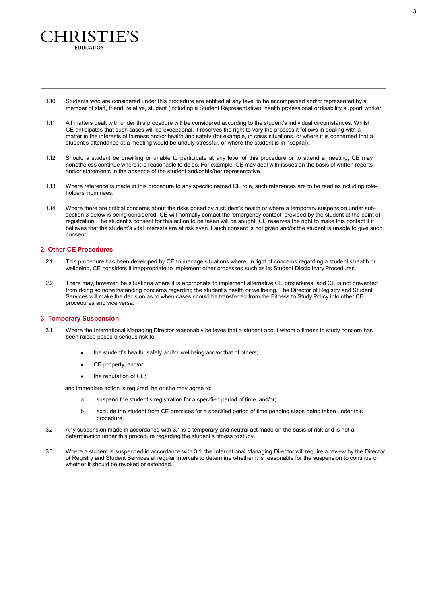1.10 Students who are considered under this procedure are entitled at any level to be accompanied and/or represented by a member of staff, friend, relative, student (including a Student Representative), health professional ordisability support worker.

- 1.11 All matters dealt with under this procedure will be considered according to the student's individual circumstances. Whilst CE anticipates that such cases will be exceptional, it reserves the right to vary the process it follows in dealing with a matter in the interests of fairness and/or health and safety (for example, in crisis situations, or where it is concerned that a student's attendance at a meeting would be unduly stressful, or where the student is in hospital).
- 1.12 Should a student be unwilling or unable to participate at any level of this procedure or to attend a meeting, CE may nonetheless continue where it is reasonable to do so. For example, CE may deal with issues on the basis of written reports and/or statements in the absence of the student and/or his/her representative.
- 1.13 Where reference is made in this procedure to any specific named CE role, such references are to be read asincluding roleholders' nominees.
- 1.14 Where there are critical concerns about the risks posed by a student's health or where a temporary suspension under subsection 3 below is being considered, CE will normally contact the 'emergency contact' provided by the student at the point of registration. The student's consent for this action to be taken will be sought. CE reserves the right to make this contact if it believes that the student's vital interests are at risk even if such consent is not given and/or the student is unable to give such consent.

# <span id="page-3-0"></span>**2. Other CE Procedures**

`HRISTIE'S **EDUCATION** 

- 2.1 This procedure has been developed by CE to manage situations where, in light of concerns regarding a student's health or wellbeing, CE considers it inappropriate to implement other processes such as its Student Disciplinary Procedures.
- 2.2 There may, however, be situations where it is appropriate to implement alternative CE procedures, and CE is not prevented from doing so notwithstanding concerns regarding the student's health or wellbeing. The Director of Registry and Student Services will make the decision as to when cases should be transferred from the Fitness to Study Policy into other CE procedures and vice versa.

## <span id="page-3-1"></span>**3. Temporary Suspension**

- 3.1 Where the International Managing Director reasonably believes that a student about whom a fitness to study concern has been raised poses a serious risk to:
	- the student's health, safety and/or wellbeing and/or that of others;
	- CE property, and/or;
	- the reputation of CE;

and immediate action is required, he or she may agree to:

- a. suspend the student's registration for a specified period of time, and/or;
- b. exclude the student from CE premises for a specified period of time pending steps being taken under this procedure.
- 3.2 Any suspension made in accordance with 3.1 is a temporary and neutral act made on the basis of risk and is not a determination under this procedure regarding the student's fitness tostudy.
- 3.3 Where a student is suspended in accordance with 3.1, the International Managing Director will require a review by the Director of Registry and Student Services at regular intervals to determine whether it is reasonable for the suspension to continue or whether it should be revoked or extended.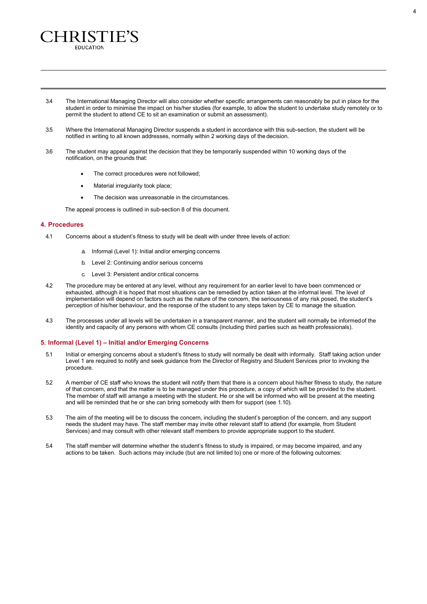3.4 The International Managing Director will also consider whether specific arrangements can reasonably be put in place for the student in order to minimise the impact on his/her studies (for example, to allow the student to undertake study remotely or to permit the student to attend CE to sit an examination or submit an assessment).

- 3.5 Where the International Managing Director suspends a student in accordance with this sub-section, the student will be notified in writing to all known addresses, normally within 2 working days of the decision.
- 3.6 The student may appeal against the decision that they be temporarily suspended within 10 working days of the notification, on the grounds that:
	- The correct procedures were not followed;
	- Material irregularity took place;

'HRISTIE'S EDUCATION

The decision was unreasonable in the circumstances.

The appeal process is outlined in sub-section 8 of this document.

# <span id="page-4-0"></span>**4. Procedures**

- 4.1 Concerns about a student's fitness to study will be dealt with under three levels of action:
	- a. Informal (Level 1): Initial and/or emerging concerns
	- b. Level 2: Continuing and/or serious concerns
	- c. Level 3: Persistent and/or critical concerns
- 4.2 The procedure may be entered at any level, without any requirement for an earlier level to have been commenced or exhausted, although it is hoped that most situations can be remedied by action taken at the informal level. The level of implementation will depend on factors such as the nature of the concern, the seriousness of any risk posed, the student's perception of his/her behaviour, and the response of the student to any steps taken by CE to manage the situation.
- 4.3 The processes under all levels will be undertaken in a transparent manner, and the student will normally be informedof the identity and capacity of any persons with whom CE consults (including third parties such as health professionals).

# <span id="page-4-1"></span>**5. Informal (Level 1) – Initial and/or Emerging Concerns**

- 5.1 Initial or emerging concerns about a student's fitness to study will normally be dealt with informally. Staff taking action under Level 1 are required to notify and seek guidance from the Director of Registry and Student Services prior to invoking the procedure.
- 5.2 A member of CE staff who knows the student will notify them that there is a concern about his/her fitness to study, the nature of that concern, and that the matter is to be managed under this procedure, a copy of which will be provided to the student. The member of staff will arrange a meeting with the student. He or she will be informed who will be present at the meeting and will be reminded that he or she can bring somebody with them for support (see 1.10).
- 5.3 The aim of the meeting will be to discuss the concern, including the student's perception of the concern, and any support needs the student may have. The staff member may invite other relevant staff to attend (for example, from Student Services) and may consult with other relevant staff members to provide appropriate support to the student.
- 5.4 The staff member will determine whether the student's fitness to study is impaired, or may become impaired, and any actions to be taken. Such actions may include (but are not limited to) one or more of the following outcomes: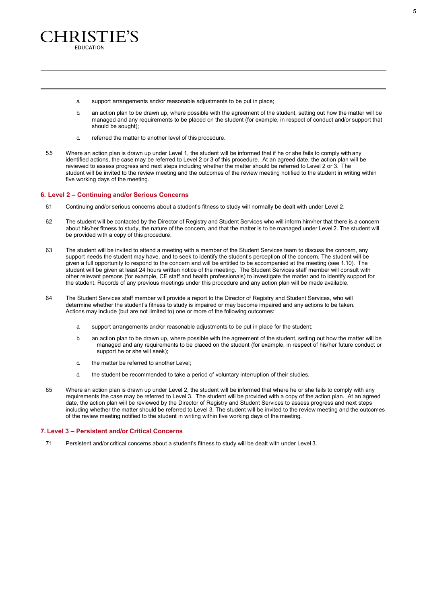

- a. support arrangements and/or reasonable adjustments to be put in place;
- b. an action plan to be drawn up, where possible with the agreement of the student, setting out how the matter will be managed and any requirements to be placed on the student (for example, in respect of conduct and/or support that should be sought);
- c. referred the matter to another level of this procedure.
- 5.5 Where an action plan is drawn up under Level 1, the student will be informed that if he or she fails to comply with any identified actions, the case may be referred to Level 2 or 3 of this procedure. At an agreed date, the action plan will be reviewed to assess progress and next steps including whether the matter should be referred to Level 2 or 3. The student will be invited to the review meeting and the outcomes of the review meeting notified to the student in writing within five working days of the meeting.

#### <span id="page-5-0"></span>**6. Level 2 – Continuing and/or Serious Concerns**

- 6.1 Continuing and/or serious concerns about a student's fitness to study will normally be dealt with under Level 2.
- 6.2 The student will be contacted by the Director of Registry and Student Services who will inform him/her that there is a concern about his/her fitness to study, the nature of the concern, and that the matter is to be managed under Level 2. The student will be provided with a copy of this procedure.
- 6.3 The student will be invited to attend a meeting with a member of the Student Services team to discuss the concern, any support needs the student may have, and to seek to identify the student's perception of the concern. The student will be given a full opportunity to respond to the concern and will be entitled to be accompanied at the meeting (see 1.10). The student will be given at least 24 hours written notice of the meeting. The Student Services staff member will consult with other relevant persons (for example, CE staff and health professionals) to investigate the matter and to identify support for the student. Records of any previous meetings under this procedure and any action plan will be made available.
- 6.4 The Student Services staff member will provide a report to the Director of Registry and Student Services, who will determine whether the student's fitness to study is impaired or may become impaired and any actions to be taken. Actions may include (but are not limited to) one or more of the following outcomes:
	- a. support arrangements and/or reasonable adjustments to be put in place for the student;
	- b. an action plan to be drawn up, where possible with the agreement of the student, setting out how the matter will be managed and any requirements to be placed on the student (for example, in respect of his/her future conduct or support he or she will seek);
	- c. the matter be referred to another Level;
	- d. the student be recommended to take a period of voluntary interruption of their studies.
- 6.5 Where an action plan is drawn up under Level 2, the student will be informed that where he or she fails to comply with any requirements the case may be referred to Level 3. The student will be provided with a copy of the action plan. At an agreed date, the action plan will be reviewed by the Director of Registry and Student Services to assess progress and next steps including whether the matter should be referred to Level 3. The student will be invited to the review meeting and the outcomes of the review meeting notified to the student in writing within five working days of the meeting.

### <span id="page-5-1"></span>**7. Level 3 – Persistent and/or Critical Concerns**

7.1 Persistent and/or critical concerns about a student's fitness to study will be dealt with under Level 3.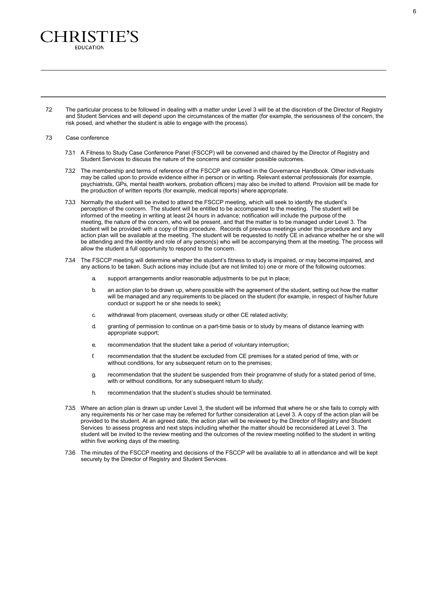7.2 The particular process to be followed in dealing with a matter under Level 3 will be at the discretion of the Director of Registry and Student Services and will depend upon the circumstances of the matter (for example, the seriousness of the concern, the risk posed, and whether the student is able to engage with the process).

## 7.3 Case conference

'HRISTIE'S **EDUCATION** 

- 7.3.1 A Fitness to Study Case Conference Panel (FSCCP) will be convened and chaired by the Director of Registry and Student Services to discuss the nature of the concerns and consider possible outcomes.
- 7.3.2 The membership and terms of reference of the FSCCP are outlined in the [Governance Handbook.](https://keithbartlettandass-my.sharepoint.com/personal/k_bartlett_bartlettandassociates_co_uk/Documents/Christies%20Education/Regs%20&%20Ps%2018-19%20CANVAS%20DRAFTS/PDF%20VERSIONS/CE%20Ltd%20Governance%20Handbook%2017-18%20FINAL.pdf) Other individuals may be called upon to provide evidence either in person or in writing. Relevant external professionals (for example, psychiatrists, GPs, mental health workers, probation officers) may also be invited to attend. Provision will be made for the production of written reports (for example, medical reports) where appropriate.
- 7.3.3 Normally the student will be invited to attend the FSCCP meeting, which will seek to identify the student's perception of the concern. The student will be entitled to be accompanied to the meeting. The student will be informed of the meeting in writing at least 24 hours in advance; notification will include the purpose of the meeting, the nature of the concern, who will be present, and that the matter is to be managed under Level 3. The student will be provided with a copy of this procedure. Records of previous meetings under this procedure and any action plan will be available at the meeting. The student will be requested to notify CE in advance whether he or she will be attending and the identity and role of any person(s) who will be accompanying them at the meeting. The process will allow the student a full opportunity to respond to the concern.
- 7.3.4 The FSCCP meeting will determine whether the student's fitness to study is impaired, or may become impaired, and any actions to be taken. Such actions may include (but are not limited to) one or more of the following outcomes:
	- a. support arrangements and/or reasonable adjustments to be put in place;
	- b. an action plan to be drawn up, where possible with the agreement of the student, setting out how the matter will be managed and any requirements to be placed on the student (for example, in respect of his/her future conduct or support he or she needs to seek);
	- c. withdrawal from placement, overseas study or other CE related activity;
	- d. granting of permission to continue on a part-time basis or to study by means of distance learning with appropriate support;
	- e. recommendation that the student take a period of voluntary interruption;
	- f. recommendation that the student be excluded from CE premises for a stated period of time, with or without conditions, for any subsequent return on to the premises;
	- g. recommendation that the student be suspended from their programme of study for a stated period of time, with or without conditions, for any subsequent return to study;
	- h. recommendation that the student's studies should be terminated.
- 7.3.5 Where an action plan is drawn up under Level 3, the student will be informed that where he or she fails to comply with any requirements his or her case may be referred for further consideration at Level 3. A copy of the action plan will be provided to the student. At an agreed date, the action plan will be reviewed by the Director of Registry and Student Services to assess progress and next steps including whether the matter should be reconsidered at Level 3. The student will be invited to the review meeting and the outcomes of the review meeting notified to the student in writing within five working days of the meeting.
- 7.3.6 The minutes of the FSCCP meeting and decisions of the FSCCP will be available to all in attendance and will be kept securely by the Director of Registry and Student Services.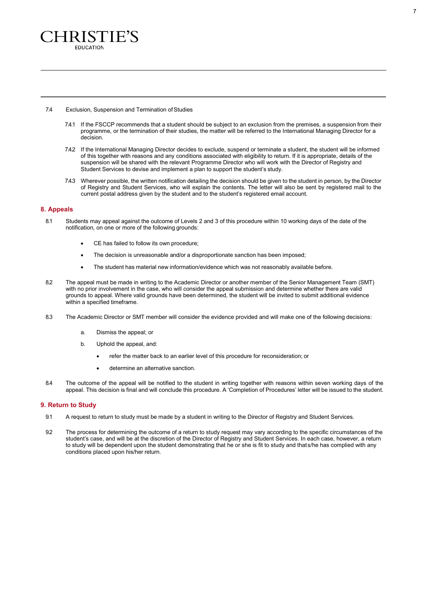

#### 7.4 Exclusion, Suspension and Termination of Studies

- 7.4.1 If the FSCCP recommends that a student should be subject to an exclusion from the premises, a suspension from their programme, or the termination of their studies, the matter will be referred to the International Managing Director for a decision.
- 7.4.2 If the International Managing Director decides to exclude, suspend or terminate a student, the student will be informed of this together with reasons and any conditions associated with eligibility to return. If it is appropriate, details of the suspension will be shared with the relevant Programme Director who will work with the Director of Registry and Student Services to devise and implement a plan to support the student's study.
- 7.4.3 Wherever possible, the written notification detailing the decision should be given to the student in person, by the Director of Registry and Student Services, who will explain the contents. The letter will also be sent by registered mail to the current postal address given by the student and to the student's registered email account.

## <span id="page-7-0"></span>**8. Appeals**

- 8.1 Students may appeal against the outcome of Levels 2 and 3 of this procedure within 10 working days of the date of the notification, on one or more of the following grounds:
	- CE has failed to follow its own procedure;
	- The decision is unreasonable and/or a disproportionate sanction has been imposed;
	- The student has material new information/evidence which was not reasonably available before.
- 8.2 The appeal must be made in writing to the Academic Director or another member of the Senior Management Team (SMT) with no prior involvement in the case, who will consider the appeal submission and determine whether there are valid grounds to appeal. Where valid grounds have been determined, the student will be invited to submit additional evidence within a specified timeframe.
- 8.3 The Academic Director or SMT member will consider the evidence provided and will make one of the following decisions:
	- a. Dismiss the appeal; or
	- b. Uphold the appeal, and:
		- refer the matter back to an earlier level of this procedure for reconsideration; or
		- determine an alternative sanction.
- 8.4 The outcome of the appeal will be notified to the student in writing together with reasons within seven working days of the appeal. This decision is final and will conclude this procedure. A 'Completion of Procedures' letter will be issued to the student.

### <span id="page-7-1"></span>**9. Return to Study**

- 9.1 A request to return to study must be made by a student in writing to the Director of Registry and Student Services.
- 9.2 The process for determining the outcome of a return to study request may vary according to the specific circumstances of the student's case, and will be at the discretion of the Director of Registry and Student Services. In each case, however, a return to study will be dependent upon the student demonstrating that he or she is fit to study and thats/he has complied with any conditions placed upon his/her return.